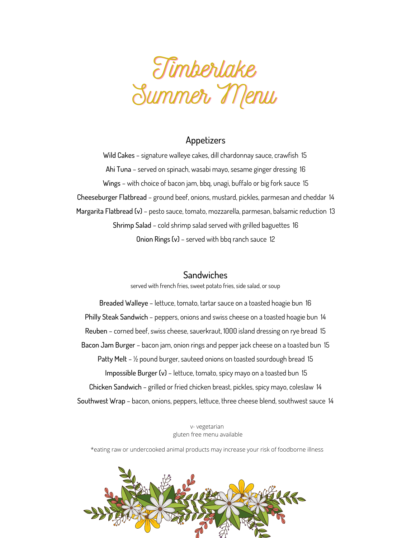

### Appetizers

Wild Cakes – signature walleye cakes, dill chardonnay sauce, crawfish 15 Ahi Tuna – served on spinach, wasabi mayo, sesame ginger dressing 16 Wings – with choice of bacon jam, bbq, unagi, buffalo or big fork sauce 15 Cheeseburger Flatbread – ground beef, onions, mustard, pickles, parmesan and cheddar 14 Margarita Flatbread (v) – pesto sauce, tomato, mozzarella, parmesan, balsamic reduction 13 Shrimp Salad – cold shrimp salad served with grilled baguettes 16 Onion Rings (v) – served with bbq ranch sauce 12

## **Sandwiches**

served with french fries, sweet potato fries, side salad, or soup

Breaded Walleye – lettuce, tomato, tartar sauce on a toasted hoagie bun 16 Philly Steak Sandwich – peppers, onions and swiss cheese on a toasted hoagie bun 14 Reuben – corned beef, swiss cheese, sauerkraut, 1000 island dressing on rye bread 15 Bacon Jam Burger – bacon jam, onion rings and pepper jack cheese on a toasted bun 15 Patty Melt – ½ pound burger, sauteed onions on toasted sourdough bread 15 Impossible Burger (v) – lettuce, tomato, spicy mayo on a toasted bun 15 Chicken Sandwich – grilled or fried chicken breast, pickles, spicy mayo, coleslaw 14 Southwest Wrap – bacon, onions, peppers, lettuce, three cheese blend, southwest sauce 14

> v- vegetarian gluten free menu available

\*eating raw or undercooked animal products may increase your risk of foodborne illness